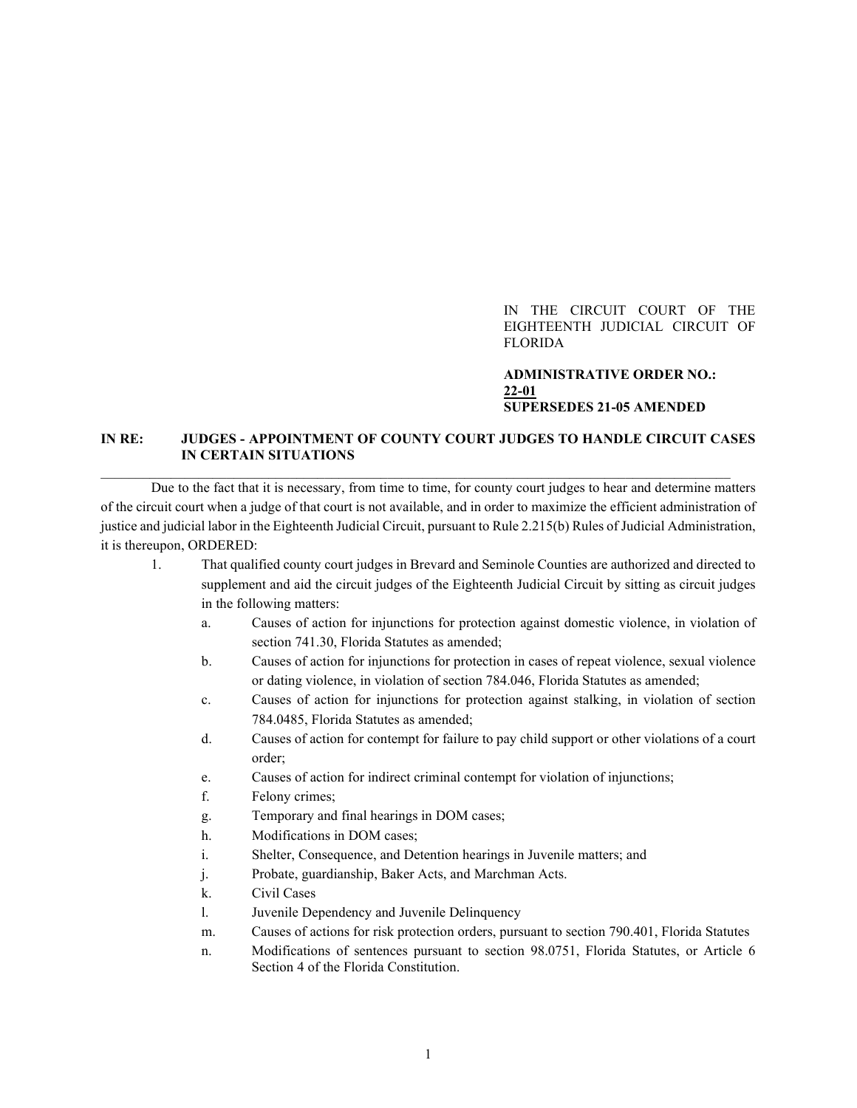IN THE CIRCUIT COURT OF THE EIGHTEENTH JUDICIAL CIRCUIT OF FLORIDA

## **ADMINISTRATIVE ORDER NO.: 22-01 SUPERSEDES 21-05 AMENDED**

## **IN RE: JUDGES - APPOINTMENT OF COUNTY COURT JUDGES TO HANDLE CIRCUIT CASES IN CERTAIN SITUATIONS**

 $\mathcal{L}_\mathcal{L} = \{ \mathcal{L}_\mathcal{L} = \{ \mathcal{L}_\mathcal{L} = \{ \mathcal{L}_\mathcal{L} = \{ \mathcal{L}_\mathcal{L} = \{ \mathcal{L}_\mathcal{L} = \{ \mathcal{L}_\mathcal{L} = \{ \mathcal{L}_\mathcal{L} = \{ \mathcal{L}_\mathcal{L} = \{ \mathcal{L}_\mathcal{L} = \{ \mathcal{L}_\mathcal{L} = \{ \mathcal{L}_\mathcal{L} = \{ \mathcal{L}_\mathcal{L} = \{ \mathcal{L}_\mathcal{L} = \{ \mathcal{L}_\mathcal{$ 

Due to the fact that it is necessary, from time to time, for county court judges to hear and determine matters of the circuit court when a judge of that court is not available, and in order to maximize the efficient administration of justice and judicial labor in the Eighteenth Judicial Circuit, pursuant to Rule 2.215(b) Rules of Judicial Administration, it is thereupon, ORDERED:

- 1. That qualified county court judges in Brevard and Seminole Counties are authorized and directed to supplement and aid the circuit judges of the Eighteenth Judicial Circuit by sitting as circuit judges in the following matters:
	- a. Causes of action for injunctions for protection against domestic violence, in violation of section 741.30, Florida Statutes as amended;
	- b. Causes of action for injunctions for protection in cases of repeat violence, sexual violence or dating violence, in violation of section 784.046, Florida Statutes as amended;
	- c. Causes of action for injunctions for protection against stalking, in violation of section 784.0485, Florida Statutes as amended;
	- d. Causes of action for contempt for failure to pay child support or other violations of a court order;
	- e. Causes of action for indirect criminal contempt for violation of injunctions;
	- f. Felony crimes;
	- g. Temporary and final hearings in DOM cases;
	- h. Modifications in DOM cases;
	- i. Shelter, Consequence, and Detention hearings in Juvenile matters; and
	- j. Probate, guardianship, Baker Acts, and Marchman Acts.
	- k. Civil Cases
	- l. Juvenile Dependency and Juvenile Delinquency
	- m. Causes of actions for risk protection orders, pursuant to section 790.401, Florida Statutes
	- n. Modifications of sentences pursuant to section 98.0751, Florida Statutes, or Article 6 Section 4 of the Florida Constitution.